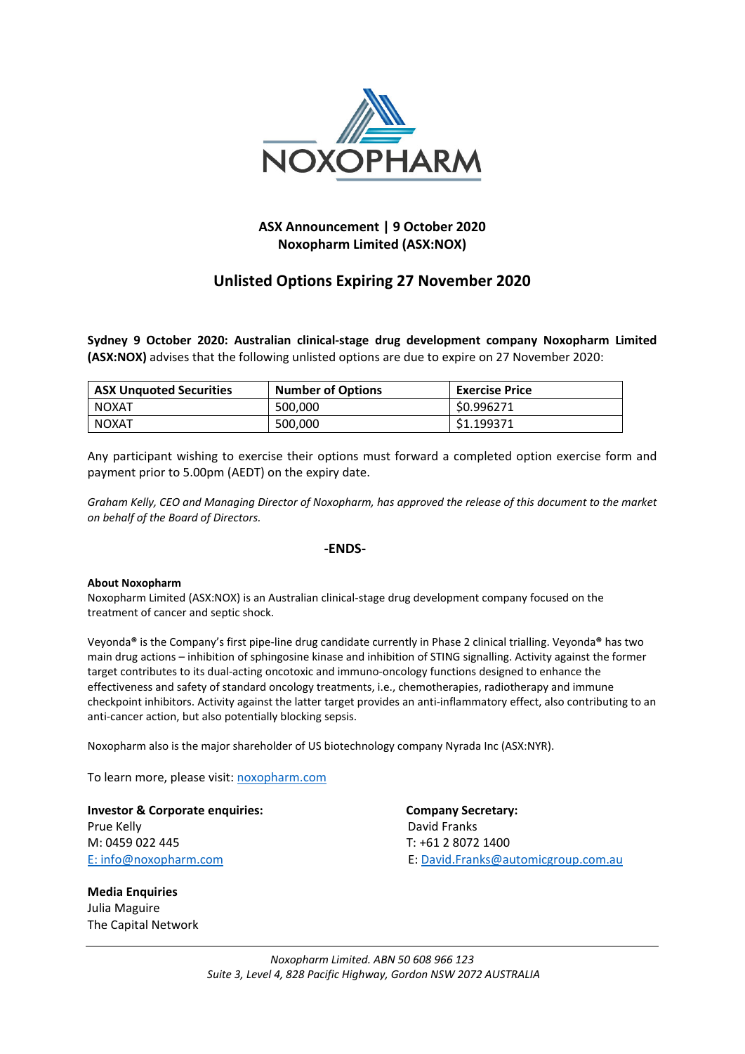

## **ASX Announcement | 9 October 2020 Noxopharm Limited (ASX:NOX)**

# **Unlisted Options Expiring 27 November 2020**

**Sydney 9 October 2020: Australian clinical‐stage drug development company Noxopharm Limited (ASX:NOX)** advises that the following unlisted options are due to expire on 27 November 2020:

| <b>ASX Unquoted Securities</b> | <b>Number of Options</b> | <b>Exercise Price</b> |
|--------------------------------|--------------------------|-----------------------|
| NOXAT                          | 500.000                  | \$0.996271            |
| NOXAT                          | 500,000                  | \$1.199371            |

Any participant wishing to exercise their options must forward a completed option exercise form and payment prior to 5.00pm (AEDT) on the expiry date.

Graham Kelly, CEO and Managing Director of Noxopharm, has approved the release of this document to the market *on behalf of the Board of Directors.*

### **‐ENDS‐**

### **About Noxopharm**

Noxopharm Limited (ASX:NOX) is an Australian clinical‐stage drug development company focused on the treatment of cancer and septic shock.

Veyonda**®** is the Company's first pipe‐line drug candidate currently in Phase 2 clinical trialling. Veyonda**®** has two main drug actions – inhibition of sphingosine kinase and inhibition of STING signalling. Activity against the former target contributes to its dual‐acting oncotoxic and immuno‐oncology functions designed to enhance the effectiveness and safety of standard oncology treatments, i.e., chemotherapies, radiotherapy and immune checkpoint inhibitors. Activity against the latter target provides an anti-inflammatory effect, also contributing to an anti-cancer action, but also potentially blocking sepsis.

Noxopharm also is the major shareholder of US biotechnology company Nyrada Inc (ASX:NYR).

To learn more, please visit: noxopharm.com

**Investor & Corporate enquiries: Company Secretary:**  Prue Kelly **Brue Kelly Prue Kelly Prue Kelly David Franks** M: 0459 022 445 T: +61 2 8072 1400

**Media Enquiries**  Julia Maguire The Capital Network

E: info@noxopharm.com **E: David.Franks@automicgroup.com.au**